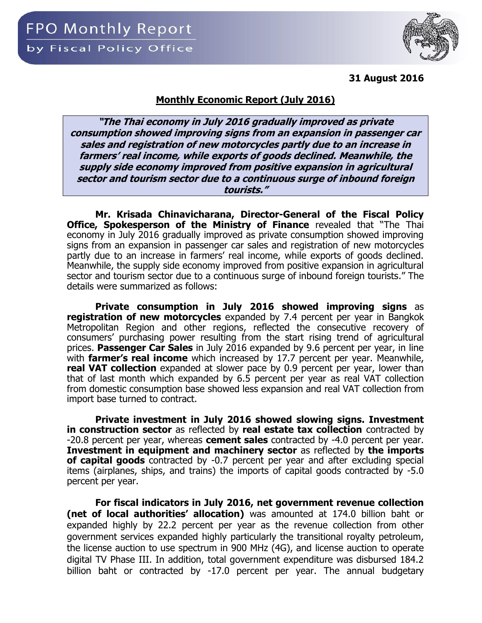**31 August 2016**



**"The Thai economy in July 2016 gradually improved as private consumption showed improving signs from an expansion in passenger car sales and registration of new motorcycles partly due to an increase in farmers' real income, while exports of goods declined. Meanwhile, the supply side economy improved from positive expansion in agricultural sector and tourism sector due to a continuous surge of inbound foreign tourists."**

**Mr. Krisada Chinavicharana, Director-General of the Fiscal Policy Office, Spokesperson of the Ministry of Finance** revealed that "The Thai economy in July 2016 gradually improved as private consumption showed improving signs from an expansion in passenger car sales and registration of new motorcycles partly due to an increase in farmers' real income, while exports of goods declined. Meanwhile, the supply side economy improved from positive expansion in agricultural sector and tourism sector due to a continuous surge of inbound foreign tourists." The details were summarized as follows:

**Private consumption in July 2016 showed improving signs** as **registration of new motorcycles** expanded by 7.4 percent per year in Bangkok Metropolitan Region and other regions, reflected the consecutive recovery of consumers' purchasing power resulting from the start rising trend of agricultural prices. **Passenger Car Sales** in July 2016 expanded by 9.6 percent per year, in line with **farmer's real income** which increased by 17.7 percent per year. Meanwhile, **real VAT collection** expanded at slower pace by 0.9 percent per year, lower than that of last month which expanded by 6.5 percent per year as real VAT collection from domestic consumption base showed less expansion and real VAT collection from import base turned to contract.

**Private investment in July 2016 showed slowing signs. Investment in construction sector** as reflected by **real estate tax collection** contracted by -20.8 percent per year, whereas **cement sales** contracted by -4.0 percent per year. **Investment in equipment and machinery sector** as reflected by **the imports of capital goods** contracted by -0.7 percent per year and after excluding special items (airplanes, ships, and trains) the imports of capital goods contracted by -5.0 percent per year.

**For fiscal indicators in July 2016, net government revenue collection (net of local authorities' allocation)** was amounted at 174.0 billion baht or expanded highly by 22.2 percent per year as the revenue collection from other government services expanded highly particularly the transitional royalty petroleum, the license auction to use spectrum in 900 MHz (4G), and license auction to operate digital TV Phase III. In addition, total government expenditure was disbursed 184.2 billion baht or contracted by -17.0 percent per year. The annual budgetary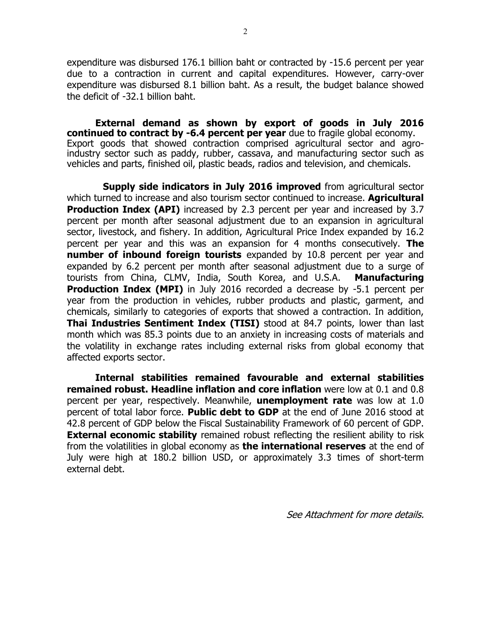expenditure was disbursed 176.1 billion baht or contracted by -15.6 percent per year due to a contraction in current and capital expenditures. However, carry-over expenditure was disbursed 8.1 billion baht. As a result, the budget balance showed the deficit of -32.1 billion baht.

**External demand as shown by export of goods in July 2016 continued to contract by -6.4 percent per year** due to fragile global economy. Export goods that showed contraction comprised agricultural sector and agroindustry sector such as paddy, rubber, cassava, and manufacturing sector such as vehicles and parts, finished oil, plastic beads, radios and television, and chemicals.

**Supply side indicators in July 2016 improved** from agricultural sector which turned to increase and also tourism sector continued to increase. **Agricultural Production Index (API)** increased by 2.3 percent per year and increased by 3.7 percent per month after seasonal adjustment due to an expansion in agricultural sector, livestock, and fishery. In addition, Agricultural Price Index expanded by 16.2 percent per year and this was an expansion for 4 months consecutively. **The number of inbound foreign tourists** expanded by 10.8 percent per year and expanded by 6.2 percent per month after seasonal adjustment due to a surge of tourists from China, CLMV, India, South Korea, and U.S.A. **Manufacturing Production Index (MPI)** in July 2016 recorded a decrease by -5.1 percent per year from the production in vehicles, rubber products and plastic, garment, and chemicals, similarly to categories of exports that showed a contraction. In addition, **Thai Industries Sentiment Index (TISI)** stood at 84.7 points, lower than last month which was 85.3 points due to an anxiety in increasing costs of materials and the volatility in exchange rates including external risks from global economy that affected exports sector.

**Internal stabilities remained favourable and external stabilities remained robust. Headline inflation and core inflation** were low at 0.1 and 0.8 percent per year, respectively. Meanwhile, **unemployment rate** was low at 1.0 percent of total labor force. **Public debt to GDP** at the end of June 2016 stood at 42.8 percent of GDP below the Fiscal Sustainability Framework of 60 percent of GDP. **External economic stability** remained robust reflecting the resilient ability to risk from the volatilities in global economy as **the international reserves** at the end of July were high at 180.2 billion USD, or approximately 3.3 times of short-term external debt.

See Attachment for more details.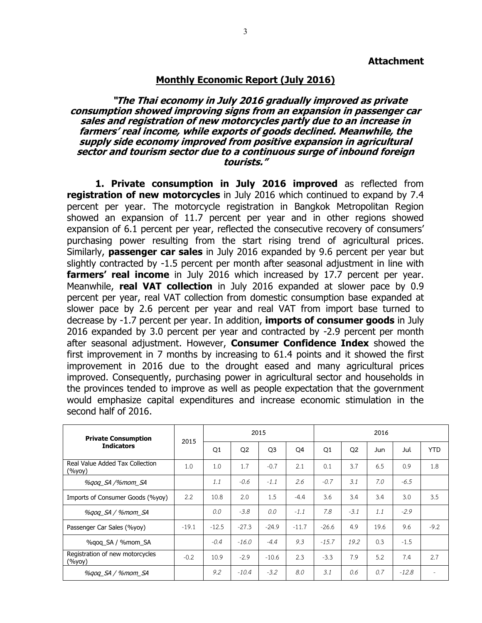## **Monthly Economic Report (July 2016)**

## **"The Thai economy in July 2016 gradually improved as private consumption showed improving signs from an expansion in passenger car sales and registration of new motorcycles partly due to an increase in farmers' real income, while exports of goods declined. Meanwhile, the supply side economy improved from positive expansion in agricultural sector and tourism sector due to a continuous surge of inbound foreign tourists."**

**1. Private consumption in July 2016 improved** as reflected from **registration of new motorcycles** in July 2016 which continued to expand by 7.4 percent per year. The motorcycle registration in Bangkok Metropolitan Region showed an expansion of 11.7 percent per year and in other regions showed expansion of 6.1 percent per year, reflected the consecutive recovery of consumers' purchasing power resulting from the start rising trend of agricultural prices. Similarly, **passenger car sales** in July 2016 expanded by 9.6 percent per year but slightly contracted by -1.5 percent per month after seasonal adjustment in line with **farmers' real income** in July 2016 which increased by 17.7 percent per year. Meanwhile, **real VAT collection** in July 2016 expanded at slower pace by 0.9 percent per year, real VAT collection from domestic consumption base expanded at slower pace by 2.6 percent per year and real VAT from import base turned to decrease by -1.7 percent per year. In addition, **imports of consumer goods** in July 2016 expanded by 3.0 percent per year and contracted by -2.9 percent per month after seasonal adjustment. However, **Consumer Confidence Index** showed the first improvement in 7 months by increasing to 61.4 points and it showed the first improvement in 2016 due to the drought eased and many agricultural prices improved. Consequently, purchasing power in agricultural sector and households in the provinces tended to improve as well as people expectation that the government would emphasize capital expenditures and increase economic stimulation in the second half of 2016.

| <b>Private Consumption</b>                |         |         |                | 2015           |                | 2016    |                |      |         |            |  |  |  |
|-------------------------------------------|---------|---------|----------------|----------------|----------------|---------|----------------|------|---------|------------|--|--|--|
| <b>Indicators</b>                         | 2015    | Q1      | Q <sub>2</sub> | Q <sub>3</sub> | Q <sub>4</sub> | Q1      | Q <sub>2</sub> | Jun  | Jul     | <b>YTD</b> |  |  |  |
| Real Value Added Tax Collection<br>(%yoy) | 1.0     | 1.0     | 1.7            | $-0.7$         | 2.1            | 0.1     | 3.7            | 6.5  | 0.9     | 1.8        |  |  |  |
| %gog SA /%mom SA                          |         | 1.1     | $-0.6$         | $-1.1$         | 2.6            | $-0.7$  | 3.1            | 7.0  | $-6.5$  |            |  |  |  |
| Imports of Consumer Goods (%yoy)          | 2.2     | 10.8    | 2.0            | 1.5            | $-4.4$         | 3.6     | 3.4            | 3.4  | 3.0     | 3.5        |  |  |  |
| %gog_SA / %mom_SA                         |         | 0.0     | $-3.8$         | 0.0            | $-1.1$         | 7.8     | $-3.1$         | 1.1  | $-2.9$  |            |  |  |  |
| Passenger Car Sales (%yoy)                | $-19.1$ | $-12.5$ | $-27.3$        | $-24.9$        | $-11.7$        | $-26.6$ | 4.9            | 19.6 | 9.6     | $-9.2$     |  |  |  |
| %gog SA / %mom SA                         |         | $-0.4$  | $-16.0$        | $-4.4$         | 9.3            | $-15.7$ | 19.2           | 0.3  | $-1.5$  |            |  |  |  |
| Registration of new motorcycles<br>(%уоу) | $-0.2$  | 10.9    | $-2.9$         | $-10.6$        | 2.3            | $-3.3$  | 7.9            | 5.2  | 7.4     | 2.7        |  |  |  |
| %gog SA / %mom SA                         |         | 9.2     | $-10.4$        | $-3.2$         | 8.0            | 3.1     | 0.6            | 0.7  | $-12.8$ |            |  |  |  |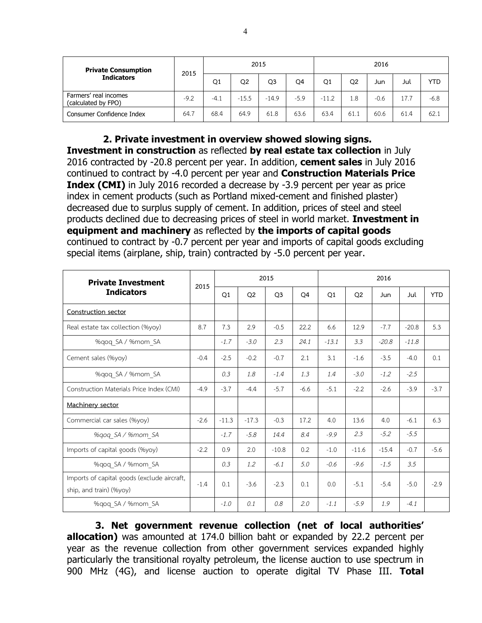| <b>Private Consumption</b><br><b>Indicators</b> | 2015   |        |                | 2015           |        | 2016        |                |        |      |        |  |  |
|-------------------------------------------------|--------|--------|----------------|----------------|--------|-------------|----------------|--------|------|--------|--|--|
|                                                 |        | Q1     | Q <sub>2</sub> | Q <sub>3</sub> | Q4     | $_{\rm Q1}$ | Q <sub>2</sub> | Jun    | Jul  | YTD    |  |  |
| Farmers' real incomes<br>(calculated by FPO)    | $-9.2$ | $-4.1$ | $-15.5$        | $-14.9$        | $-5.9$ | $-11.2$     | 1.8            | $-0.6$ | 17.7 | $-6.8$ |  |  |
| Consumer Confidence Index                       | 64.7   | 68.4   | 64.9           | 61.8           | 63.6   | 63.4        | 61.1           | 60.6   | 61.4 | 62.1   |  |  |

**2. Private investment in overview showed slowing signs. Investment in construction** as reflected **by real estate tax collection** in July 2016 contracted by -20.8 percent per year. In addition, **cement sales** in July 2016 continued to contract by -4.0 percent per year and **Construction Materials Price Index (CMI)** in July 2016 recorded a decrease by -3.9 percent per year as price index in cement products (such as Portland mixed-cement and finished plaster) decreased due to surplus supply of cement. In addition, prices of steel and steel products declined due to decreasing prices of steel in world market. **Investment in equipment and machinery** as reflected by **the imports of capital goods** continued to contract by -0.7 percent per year and imports of capital goods excluding special items (airplane, ship, train) contracted by -5.0 percent per year.

| <b>Private Investment</b>                                              | 2015   |                |                | 2015           |                | 2016           |                |            |         |            |  |  |  |
|------------------------------------------------------------------------|--------|----------------|----------------|----------------|----------------|----------------|----------------|------------|---------|------------|--|--|--|
| <b>Indicators</b>                                                      |        | O <sub>1</sub> | Q <sub>2</sub> | O <sub>3</sub> | O <sub>4</sub> | O <sub>1</sub> | O <sub>2</sub> | <b>Jun</b> | Jul     | <b>YTD</b> |  |  |  |
| Construction sector                                                    |        |                |                |                |                |                |                |            |         |            |  |  |  |
| Real estate tax collection (%yoy)                                      | 8.7    | 7.3            | 2.9            | $-0.5$         | 22.2           | 6.6            | 12.9           | $-7.7$     | $-20.8$ | 5.3        |  |  |  |
| %qoq SA / %mom SA                                                      |        | $-1.7$         | $-3.0$         | 2.3            | 24.1           | $-13.1$        | 3.3            | $-20.8$    | $-11.8$ |            |  |  |  |
| Cement sales (%yoy)                                                    | $-0.4$ | $-2.5$         | $-0.2$         | $-0.7$         | 2.1            | 3.1            | $-1.6$         | $-3.5$     | $-4.0$  | 0.1        |  |  |  |
| %gog SA / %mom SA                                                      |        | 0.3            | 1.8            | $-1.4$         | 1.3            | 1.4            | $-3.0$         | $-1.2$     | $-2.5$  |            |  |  |  |
| Construction Materials Price Index (CMI)                               | $-4.9$ | $-3.7$         | $-4.4$         | $-5.7$         | $-6.6$         | $-5.1$         | $-2.2$         | $-2.6$     | $-3.9$  | $-3.7$     |  |  |  |
| Machinery sector                                                       |        |                |                |                |                |                |                |            |         |            |  |  |  |
| Commercial car sales (%yoy)                                            | $-2.6$ | $-11.3$        | $-17.3$        | $-0.3$         | 17.2           | 4.0            | 13.6           | 4.0        | $-6.1$  | 6.3        |  |  |  |
| %gog SA / %mom SA                                                      |        | $-1.7$         | $-5.8$         | 14.4           | 8.4            | $-9.9$         | 2.3            | $-5.2$     | $-5.5$  |            |  |  |  |
| Imports of capital goods (%yoy)                                        | $-2.2$ | 0.9            | 2.0            | $-10.8$        | 0.2            | $-1.0$         | $-11.6$        | $-15.4$    | $-0.7$  | $-5.6$     |  |  |  |
| %qoq SA / %mom SA                                                      |        | 0.3            | 1.2            | $-6.1$         | 5.0            | $-0.6$         | $-9.6$         | $-1.5$     | 3.5     |            |  |  |  |
| Imports of capital goods (exclude aircraft,<br>ship, and train) (%yoy) | $-1.4$ | 0.1            | $-3.6$         | $-2.3$         | 0.1            | 0.0            | $-5.1$         | $-5.4$     | $-5.0$  | $-2.9$     |  |  |  |
| %gog SA / %mom SA                                                      |        | $-1.0$         | 0.1            | 0.8            | 2.0            | $-1.1$         | $-5.9$         | 1.9        | $-4.1$  |            |  |  |  |

**3. Net government revenue collection (net of local authorities' allocation)** was amounted at 174.0 billion baht or expanded by 22.2 percent per year as the revenue collection from other government services expanded highly particularly the transitional royalty petroleum, the license auction to use spectrum in 900 MHz (4G), and license auction to operate digital TV Phase III. **Total**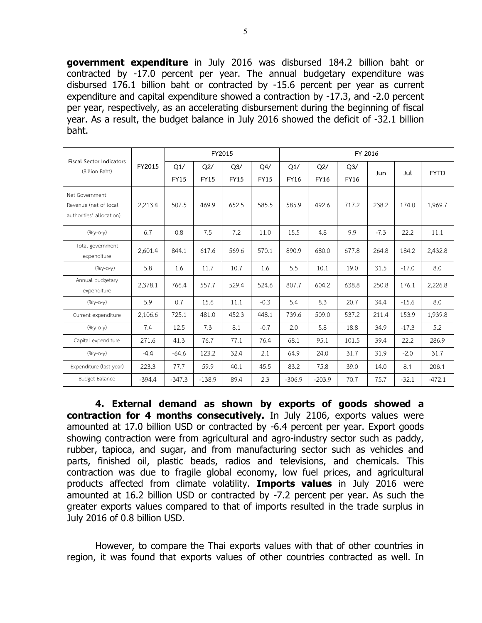**government expenditure** in July 2016 was disbursed 184.2 billion baht or contracted by -17.0 percent per year. The annual budgetary expenditure was disbursed 176.1 billion baht or contracted by -15.6 percent per year as current expenditure and capital expenditure showed a contraction by -17.3, and -2.0 percent per year, respectively, as an accelerating disbursement during the beginning of fiscal year. As a result, the budget balance in July 2016 showed the deficit of -32.1 billion baht.

| <b>Fiscal Sector Indicators</b>                                     |          |                    |                    | FY2015             |                    | FY 2016            |                    |                               |        |         |             |  |  |  |  |
|---------------------------------------------------------------------|----------|--------------------|--------------------|--------------------|--------------------|--------------------|--------------------|-------------------------------|--------|---------|-------------|--|--|--|--|
| (Billion Baht)                                                      | FY2015   | Q1/<br><b>FY15</b> | Q2/<br><b>FY15</b> | Q3/<br><b>FY15</b> | Q4/<br><b>FY15</b> | Q1/<br><b>FY16</b> | Q2/<br><b>FY16</b> | Q <sub>3</sub><br><b>FY16</b> | Jun    | Jul     | <b>FYTD</b> |  |  |  |  |
| Net Government<br>Revenue (net of local<br>authorities' allocation) | 2,213.4  | 507.5              | 469.9              | 652.5              | 585.5              | 585.9              | 492.6              | 717.2                         | 238.2  | 174.0   | 1,969.7     |  |  |  |  |
| $(96y-c-y)$                                                         | 6.7      | 0.8                | 7.5                | 7.2                | 11.0               | 15.5               | 4.8                | 9.9                           | $-7.3$ | 22.2    | 11.1        |  |  |  |  |
| Total government<br>expenditure                                     | 2,601.4  | 844.1              | 617.6              | 569.6              | 570.1              | 890.9              | 680.0              | 677.8                         | 264.8  | 184.2   | 2,432.8     |  |  |  |  |
| $(%y-o-y)$                                                          | 5.8      | 1.6                | 11.7               | 10.7               | 1.6                | 5.5                | 10.1               | 19.0                          | 31.5   | $-17.0$ | 8.0         |  |  |  |  |
| Annual budgetary<br>expenditure                                     | 2,378.1  | 766.4              | 557.7              | 529.4              | 524.6              | 807.7              | 604.2              | 638.8                         | 250.8  | 176.1   | 2,226.8     |  |  |  |  |
| $(%y-o-y)$                                                          | 5.9      | 0.7                | 15.6               | 11.1               | $-0.3$             | 5.4                | 8.3                | 20.7                          | 34.4   | $-15.6$ | 8.0         |  |  |  |  |
| Current expenditure                                                 | 2,106.6  | 725.1              | 481.0              | 452.3              | 448.1              | 739.6              | 509.0              | 537.2                         | 211.4  | 153.9   | 1,939.8     |  |  |  |  |
| $(96y-c-y)$                                                         | 7.4      | 12.5               | 7.3                | 8.1                | $-0.7$             | 2.0                | 5.8                | 18.8                          | 34.9   | $-17.3$ | 5.2         |  |  |  |  |
| Capital expenditure                                                 | 271.6    | 41.3               | 76.7               | 77.1               | 76.4               | 68.1               | 95.1               | 101.5                         | 39.4   | 22.2    | 286.9       |  |  |  |  |
| $(96y-c-y)$                                                         | $-4.4$   | $-64.6$            | 123.2              | 32.4               | 2.1                | 64.9               | 24.0               | 31.7                          | 31.9   | $-2.0$  | 31.7        |  |  |  |  |
| Expenditure (last year)                                             | 223.3    | 77.7               | 59.9               | 40.1               | 45.5               | 83.2               | 75.8               | 39.0                          | 14.0   | 8.1     | 206.1       |  |  |  |  |
| <b>Budget Balance</b>                                               | $-394.4$ | $-347.3$           | $-138.9$           | 89.4               | 2.3                | $-306.9$           | $-203.9$           | 70.7                          | 75.7   | $-32.1$ | $-472.1$    |  |  |  |  |

**4. External demand as shown by exports of goods showed a contraction for 4 months consecutively.** In July 2106, exports values were amounted at 17.0 billion USD or contracted by -6.4 percent per year. Export goods showing contraction were from agricultural and agro-industry sector such as paddy, rubber, tapioca, and sugar, and from manufacturing sector such as vehicles and parts, finished oil, plastic beads, radios and televisions, and chemicals. This contraction was due to fragile global economy, low fuel prices, and agricultural products affected from climate volatility. **Imports values** in July 2016 were amounted at 16.2 billion USD or contracted by -7.2 percent per year. As such the greater exports values compared to that of imports resulted in the trade surplus in July 2016 of 0.8 billion USD.

However, to compare the Thai exports values with that of other countries in region, it was found that exports values of other countries contracted as well. In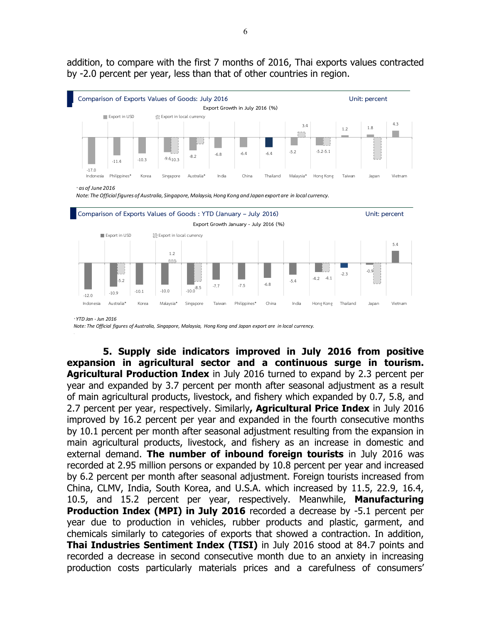addition, to compare with the first 7 months of 2016, Thai exports values contracted by -2.0 percent per year, less than that of other countries in region.



 *YTD Jan - Jun 2016*

*Note: The Official figures of Australia, Singapore, Malaysia, Hong Kong and Japan export are in local currency.*

**5. Supply side indicators improved in July 2016 from positive expansion in agricultural sector and a continuous surge in tourism. Agricultural Production Index** in July 2016 turned to expand by 2.3 percent per year and expanded by 3.7 percent per month after seasonal adjustment as a result of main agricultural products, livestock, and fishery which expanded by 0.7, 5.8, and 2.7 percent per year, respectively. Similarly**, Agricultural Price Index** in July 2016 improved by 16.2 percent per year and expanded in the fourth consecutive months by 10.1 percent per month after seasonal adjustment resulting from the expansion in main agricultural products, livestock, and fishery as an increase in domestic and external demand. **The number of inbound foreign tourists** in July 2016 was recorded at 2.95 million persons or expanded by 10.8 percent per year and increased by 6.2 percent per month after seasonal adjustment. Foreign tourists increased from China, CLMV, India, South Korea, and U.S.A. which increased by 11.5, 22.9, 16.4, 10.5, and 15.2 percent per year, respectively. Meanwhile, **Manufacturing Production Index (MPI) in July 2016** recorded a decrease by -5.1 percent per year due to production in vehicles, rubber products and plastic, garment, and chemicals similarly to categories of exports that showed a contraction. In addition, **Thai Industries Sentiment Index (TISI)** in July 2016 stood at 84.7 points and recorded a decrease in second consecutive month due to an anxiety in increasing production costs particularly materials prices and a carefulness of consumers'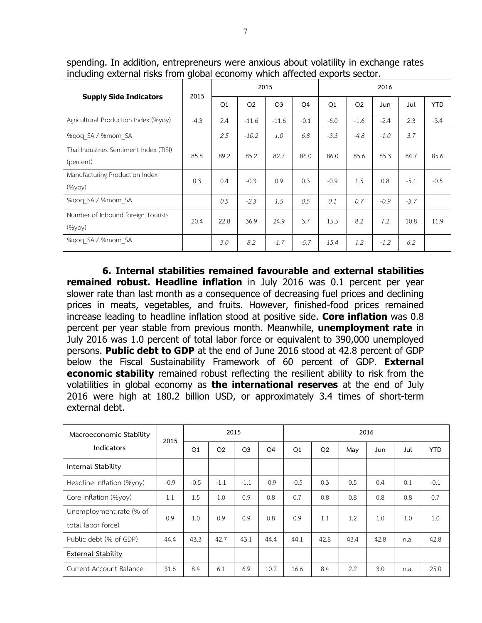|                                                     | 2015   |      |                | 2015           |        | 2016   |                |        |        |            |  |  |
|-----------------------------------------------------|--------|------|----------------|----------------|--------|--------|----------------|--------|--------|------------|--|--|
| <b>Supply Side Indicators</b>                       |        | Q1   | Q <sub>2</sub> | Q <sub>3</sub> | Q4     | Q1     | Q <sub>2</sub> | Jun    | Jul    | <b>YTD</b> |  |  |
| Agricultural Production Index (%yoy)                | $-4.3$ | 2.4  | $-11.6$        | $-11.6$        | $-0.1$ | $-6.0$ | $-1.6$         | $-2.4$ | 2.3    | $-3.4$     |  |  |
| %gog SA / %mom SA                                   |        | 2.5  | $-10.2$        | 1.0            | 6.8    | $-3.3$ | $-4.8$         | $-1.0$ | 3.7    |            |  |  |
| Thai Industries Sentiment Index (TISI)<br>(percent) | 85.8   | 89.2 | 85.2           | 82.7           | 86.0   | 86.0   | 85.6           | 85.3   | 84.7   | 85.6       |  |  |
| Manufacturing Production Index<br>(%yoy)            | 0.3    | 0.4  | $-0.3$         | 0.9            | 0.3    | $-0.9$ | 1.5            | 0.8    | $-5.1$ | $-0.5$     |  |  |
| %gog SA / %mom SA                                   |        | 0.5  | $-2.3$         | 1.5            | 0.5    | 0.1    | 0.7            | $-0.9$ | $-3.7$ |            |  |  |
| Number of Inbound foreign Tourists<br>(%yoy)        | 20.4   | 22.8 | 36.9           | 24.9           | 3.7    | 15.5   | 8.2            | 7.2    | 10.8   | 11.9       |  |  |
| %gog SA / %mom SA                                   |        | 3.0  | 8.2            | $-1.7$         | $-5.7$ | 15.4   | $1.2^{\circ}$  | $-1.2$ | 6.2    |            |  |  |

spending. In addition, entrepreneurs were anxious about volatility in exchange rates including external risks from global economy which affected exports sector.

**6. Internal stabilities remained favourable and external stabilities remained robust. Headline inflation** in July 2016 was 0.1 percent per year slower rate than last month as a consequence of decreasing fuel prices and declining prices in meats, vegetables, and fruits. However, finished-food prices remained increase leading to headline inflation stood at positive side. **Core inflation** was 0.8 percent per year stable from previous month. Meanwhile, **unemployment rate** in July 2016 was 1.0 percent of total labor force or equivalent to 390,000 unemployed persons. **Public debt to GDP** at the end of June 2016 stood at 42.8 percent of GDP below the Fiscal Sustainability Framework of 60 percent of GDP. **External economic stability** remained robust reflecting the resilient ability to risk from the volatilities in global economy as **the international reserves** at the end of July 2016 were high at 180.2 billion USD, or approximately 3.4 times of short-term external debt.

| Macroeconomic Stability                       | 2015   |        | 2015           |                |        | 2016   |                |      |      |      |            |  |  |  |
|-----------------------------------------------|--------|--------|----------------|----------------|--------|--------|----------------|------|------|------|------------|--|--|--|
| <b>Indicators</b>                             |        | Q1     | Q <sub>2</sub> | Q <sub>3</sub> | Q4     | Q1     | Q <sub>2</sub> | May  | Jun  | Jul  | <b>YTD</b> |  |  |  |
| Internal Stability                            |        |        |                |                |        |        |                |      |      |      |            |  |  |  |
| Headline Inflation (%yoy)                     | $-0.9$ | $-0.5$ | $-1.1$         | $-1.1$         | $-0.9$ | $-0.5$ | 0.3            | 0.5  | 0.4  | 0.1  | $-0.1$     |  |  |  |
| Core Inflation (%yoy)                         | 1.1    | 1.5    | 1.0            | 0.9            | 0.8    | 0.7    | 0.8            | 0.8  | 0.8  | 0.8  | 0.7        |  |  |  |
| Unemployment rate (% of<br>total labor force) | 0.9    | 1.0    | 0.9            | 0.9            | 0.8    | 0.9    | 1.1            | 1.2  | 1.0  | 1.0  | 1.0        |  |  |  |
| Public debt (% of GDP)                        | 44.4   | 43.3   | 42.7           | 43.1           | 44.4   | 44.1   | 42.8           | 43.4 | 42.8 | n.a. | 42.8       |  |  |  |
| <b>External Stability</b>                     |        |        |                |                |        |        |                |      |      |      |            |  |  |  |
| Current Account Balance                       | 31.6   | 8.4    | 6.1            | 6.9            | 10.2   | 16.6   | 8.4            | 2.2  | 3.0  | n.a. | 25.0       |  |  |  |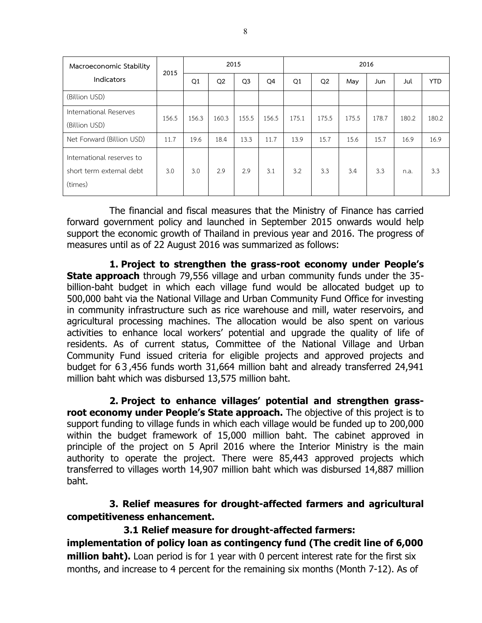| Macroeconomic Stability                                          | 2015  |       | 2015           |                |       | 2016  |                |       |       |       |            |  |  |  |
|------------------------------------------------------------------|-------|-------|----------------|----------------|-------|-------|----------------|-------|-------|-------|------------|--|--|--|
| <b>Indicators</b>                                                |       | Q1    | Q <sub>2</sub> | Q <sub>3</sub> | Q4    | Q1    | Q <sub>2</sub> | May   | Jun   | Jul   | <b>YTD</b> |  |  |  |
| (Billion USD)                                                    |       |       |                |                |       |       |                |       |       |       |            |  |  |  |
| International Reserves<br>(Billion USD)                          | 156.5 | 156.3 | 160.3          | 155.5          | 156.5 | 175.1 | 175.5          | 175.5 | 178.7 | 180.2 | 180.2      |  |  |  |
| Net Forward (Billion USD)                                        | 11.7  | 19.6  | 18.4           | 13.3           | 11.7  | 13.9  | 15.7           | 15.6  | 15.7  | 16.9  | 16.9       |  |  |  |
| International reserves to<br>short term external debt<br>(times) | 3.0   | 3.0   | 2.9            | 2.9            | 3.1   | 3.2   | 3.3            | 3.4   | 3.3   | n.a.  | 3.3        |  |  |  |

The financial and fiscal measures that the Ministry of Finance has carried forward government policy and launched in September 2015 onwards would help support the economic growth of Thailand in previous year and 2016. The progress of measures until as of 22 August 2016 was summarized as follows:

**1. Project to strengthen the grass-root economy under People's State approach** through 79,556 village and urban community funds under the 35 billion-baht budget in which each village fund would be allocated budget up to 500,000 baht via the National Village and Urban Community Fund Office for investing in community infrastructure such as rice warehouse and mill, water reservoirs, and agricultural processing machines. The allocation would be also spent on various activities to enhance local workers' potential and upgrade the quality of life of residents. As of current status, Committee of the National Village and Urban Community Fund issued criteria for eligible projects and approved projects and budget for 6 3 ,456 funds worth 31,664 million baht and already transferred 24,941 million baht which was disbursed 13,575 million baht.

**2. Project to enhance villages' potential and strengthen grassroot economy under People's State approach.** The objective of this project is to support funding to village funds in which each village would be funded up to 200,000 within the budget framework of 15,000 million baht. The cabinet approved in principle of the project on 5 April 2016 where the Interior Ministry is the main authority to operate the project. There were 85,443 approved projects which transferred to villages worth 14,907 million baht which was disbursed 14,887 million baht.

**3. Relief measures for drought-affected farmers and agricultural competitiveness enhancement.**

## **3.1 Relief measure for drought-affected farmers:**

**implementation of policy loan as contingency fund (The credit line of 6,000 million baht).** Loan period is for 1 year with 0 percent interest rate for the first six months, and increase to 4 percent for the remaining six months (Month 7-12). As of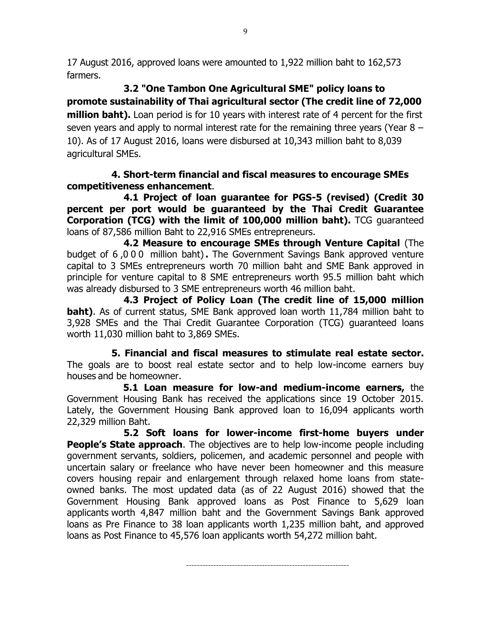17 August 2016, approved loans were amounted to 1,922 million baht to 162,573 farmers.

**3.2 "One Tambon One Agricultural SME" policy loans to promote sustainability of Thai agricultural sector (The credit line of 72,000 million baht).** Loan period is for 10 years with interest rate of 4 percent for the first seven years and apply to normal interest rate for the remaining three years (Year 8 – 10). As of 17 August 2016, loans were disbursed at 10,343 million baht to 8,039 agricultural SMEs.

## **4. Short-term financial and fiscal measures to encourage SMEs competitiveness enhancement**.

**4.1 Project of loan guarantee for PGS-5 (revised) (Credit 30 percent per port would be guaranteed by the Thai Credit Guarantee Corporation (TCG) with the limit of 100,000 million baht).** TCG guaranteed loans of 87,586 million Baht to 22,916 SMEs entrepreneurs.

**4.2 Measure to encourage SMEs through Venture Capital** (The budget of 6 ,000 million baht)**.** The Government Savings Bank approved venture capital to 3 SMEs entrepreneurs worth 70 million baht and SME Bank approved in principle for venture capital to 8 SME entrepreneurs worth 95.5 million baht which was already disbursed to 3 SME entrepreneurs worth 46 million baht.

**4.3 Project of Policy Loan (The credit line of 15,000 million baht)**. As of current status, SME Bank approved loan worth 11,784 million baht to 3,928 SMEs and the Thai Credit Guarantee Corporation (TCG) guaranteed loans worth 11,030 million baht to 3,869 SMEs.

**5. Financial and fiscal measures to stimulate real estate sector.**  The goals are to boost real estate sector and to help low-income earners buy houses and be homeowner.

 **5.1 Loan measure for low-and medium-income earners,** the Government Housing Bank has received the applications since 19 October 2015. Lately, the Government Housing Bank approved loan to 16,094 applicants worth 22,329 million Baht.

**5.2 Soft loans for lower-income first-home buyers under People's State approach**. The objectives are to help low-income people including government servants, soldiers, policemen, and academic personnel and people with uncertain salary or freelance who have never been homeowner and this measure covers housing repair and enlargement through relaxed home loans from stateowned banks. The most updated data (as of 22 August 2016) showed that the Government Housing Bank approved loans as Post Finance to 5,629 loan applicants worth 4,847 million baht and the Government Savings Bank approved loans as Pre Finance to 38 loan applicants worth 1,235 million baht, and approved loans as Post Finance to 45,576 loan applicants worth 54,272 million baht.

------------------------------------------------------------